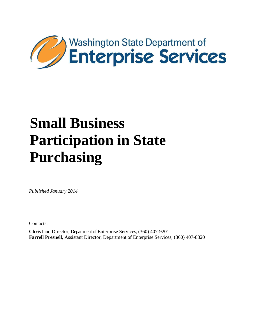

# **Small Business Participation in State Purchasing**

*Published January 2014*

Contacts:

**Chris Liu**, Director, Department of Enterprise Services, (360) 407-9201 **Farrell Presnell**, Assistant Director, Department of Enterprise Services, (360) 407-8820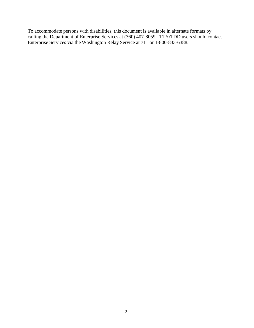To accommodate persons with disabilities, this document is available in alternate formats by calling the Department of Enterprise Services at (360) 407-8059. TTY/TDD users should contact Enterprise Services via the Washington Relay Service at 711 or 1-800-833-6388.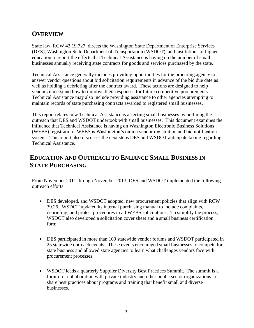## **OVERVIEW**

State law, RCW 43.19.727, directs the Washington State Department of Enterprise Services (DES), Washington State Department of Transportation (WSDOT), and institutions of higher education to report the effects that Technical Assistance is having on the number of small businesses annually receiving state contracts for goods and services purchased by the state.

Technical Assistance generally includes providing opportunities for the procuring agency to answer vendor questions about bid solicitation requirements in advance of the bid due date as well as holding a debriefing after the contract award. These actions are designed to help vendors understand how to improve their responses for future competitive procurements. Technical Assistance may also include providing assistance to other agencies attempting to maintain records of state purchasing contracts awarded to registered small businesses.

This report relates how Technical Assistance is affecting small businesses by outlining the outreach that DES and WSDOT undertook with small businesses. This document examines the influence that Technical Assistance is having on Washington Electronic Business Solutions (WEBS) registration. WEBS is Washington's online vendor registration and bid notification system. This report also discusses the next steps DES and WSDOT anticipate taking regarding Technical Assistance.

### **EDUCATION AND OUTREACH TO ENHANCE SMALL BUSINESS IN STATE PURCHASING**

From November 2011 through November 2013, DES and WSDOT implemented the following outreach efforts:

- DES developed, and WSDOT adopted, new procurement policies that align with RCW 39.26. WSDOT updated its internal purchasing manual to include complaints, debriefing, and protest procedures in all WEBS solicitations. To simplify the process, WSDOT also developed a solicitation cover sheet and a small business certification form.
- DES participated in more than 100 statewide vendor forums and WSDOT participated in 25 statewide outreach events. These events encouraged small businesses to compete for state business and allowed state agencies to learn what challenges vendors face with procurement processes.
- WSDOT leads a quarterly Supplier Diversity Best Practices Summit. The summit is a forum for collaboration with private industry and other public sector organizations to share best practices about programs and training that benefit small and diverse businesses.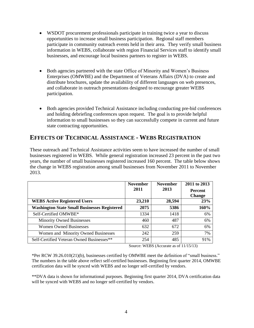- WSDOT procurement professionals participate in training twice a year to discuss opportunities to increase small business participation. Regional staff members participate in community outreach events held in their area. They verify small business information in WEBS, collaborate with region Financial Services staff to identify small businesses, and encourage local business partners to register in WEBS.
- Both agencies partnered with the state Office of Minority and Women's Business Enterprises (OMWBE) and the Department of Veterans Affairs (DVA) to create and distribute brochures, update the availability of different languages on web presences, and collaborate in outreach presentations designed to encourage greater WEBS participation.
- Both agencies provided Technical Assistance including conducting pre-bid conferences and holding debriefing conferences upon request. The goal is to provide helpful information to small businesses so they can successfully compete in current and future state contracting opportunities.

#### **EFFECTS OF TECHNICAL ASSISTANCE - WEBS REGISTRATION**

These outreach and Technical Assistance activities seem to have increased the number of small businesses registered in WEBS. While general registration increased 23 percent in the past two years, the number of small businesses registered increased 160 percent. The table below shows the change in WEBS registration among small businesses from November 2011 to November 2013.

|                                                     | <b>November</b><br>2011 | <b>November</b><br>2013 | 2011 to 2013<br><b>Percent</b> |
|-----------------------------------------------------|-------------------------|-------------------------|--------------------------------|
|                                                     |                         |                         | <b>Change</b>                  |
| <b>WEBS Active Registered Users</b>                 | 23,210                  | 28,594                  | 23%                            |
| <b>Washington State Small Businesses Registered</b> | 2075                    | 5386                    | 160%                           |
| Self-Certified OMWBE*                               | 1334                    | 1418                    | 6%                             |
| <b>Minority Owned Businesses</b>                    | 460                     | 487                     | 6%                             |
| <b>Women Owned Businesses</b>                       | 632                     | 672                     | 6%                             |
| Women and Minority Owned Businesses                 | 242                     | 259                     | 7%                             |
| Self-Certified Veteran Owned Businesses**           | 254                     | 485                     | 91%                            |

Source: WEBS (Accurate as of 11/15/13)

\*Per RCW 39.26.010(21)(b), businesses certified by OMWBE meet the definition of "small business." The numbers in the table above reflect self-certified businesses. Beginning first quarter 2014, OMWBE certification data will be synced with WEBS and no longer self-certified by vendors.

\*\*DVA data is shown for informational purposes. Beginning first quarter 2014, DVA certification data will be synced with WEBS and no longer self-certified by vendors.